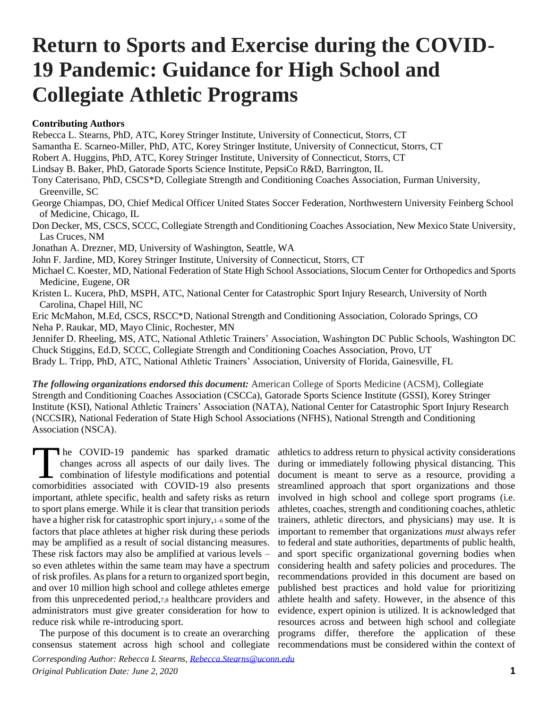# **Return to Sports and Exercise during the COVID-19 Pandemic: Guidance for High School and Collegiate Athletic Programs**

#### **Contributing Authors**

Rebecca L. Stearns, PhD, ATC, Korey Stringer Institute, University of Connecticut, Storrs, CT Samantha E. Scarneo-Miller, PhD, ATC, Korey Stringer Institute, University of Connecticut, Storrs, CT Robert A. Huggins, PhD, ATC, Korey Stringer Institute, University of Connecticut, Storrs, CT Lindsay B. Baker, PhD, Gatorade Sports Science Institute, PepsiCo R&D, Barrington, IL Tony Caterisano, PhD, CSCS\*D, Collegiate Strength and Conditioning Coaches Association, Furman University, Greenville, SC George Chiampas, DO, Chief Medical Officer United States Soccer Federation, Northwestern University Feinberg School of Medicine, Chicago, IL Don Decker, MS, CSCS, SCCC, Collegiate Strength and Conditioning Coaches Association, New Mexico State University, Las Cruces, NM Jonathan A. Drezner, MD, University of Washington, Seattle, WA John F. Jardine, MD, Korey Stringer Institute, University of Connecticut, Storrs, CT Michael C. Koester, MD, National Federation of State High School Associations, Slocum Center for Orthopedics and Sports Medicine, Eugene, OR Kristen L. Kucera, PhD, MSPH, ATC, National Center for Catastrophic Sport Injury Research, University of North Carolina, Chapel Hill, NC Eric McMahon, M.Ed, CSCS, RSCC\*D, National Strength and Conditioning Association, Colorado Springs, CO Neha P. Raukar, MD, Mayo Clinic, Rochester, MN Jennifer D. Rheeling, MS, ATC, National Athletic Trainers' Association, Washington DC Public Schools, Washington DC Chuck Stiggins, Ed.D, SCCC, Collegiate Strength and Conditioning Coaches Association, Provo, UT Brady L. Tripp, PhD, ATC, National Athletic Trainers' Association, University of Florida, Gainesville, FL

*The following organizations endorsed this document:* American College of Sports Medicine (ACSM), Collegiate Strength and Conditioning Coaches Association (CSCCa), Gatorade Sports Science Institute (GSSI), Korey Stringer Institute (KSI), National Athletic Trainers' Association (NATA), National Center for Catastrophic Sport Injury Research (NCCSIR), National Federation of State High School Associations (NFHS), National Strength and Conditioning Association (NSCA).

he COVID-19 pandemic has sparked dramatic changes across all aspects of our daily lives. The The COVID-19 pandemic has sparked dramatic<br>
changes across all aspects of our daily lives. The<br>
comprise computed with COVID-19 also presents comorbidities associated with COVID-19 also presents important, athlete specific, health and safety risks as return to sport plans emerge. While it is clear that transition periods have a higher risk for catastrophic sport injury,  $1-6$  some of the factors that place athletes at higher risk during these periods may be amplified as a result of social distancing measures. These risk factors may also be amplified at various levels – so even athletes within the same team may have a spectrum of risk profiles. As plans for a return to organized sport begin, and over 10 million high school and college athletes emerge from this unprecedented period,7,8 healthcare providers and administrators must give greater consideration for how to reduce risk while re-introducing sport.

The purpose of this document is to create an overarching

consensus statement across high school and collegiate recommendations must be considered within the context of athletics to address return to physical activity considerations during or immediately following physical distancing. This document is meant to serve as a resource, providing a streamlined approach that sport organizations and those involved in high school and college sport programs (i.e. athletes, coaches, strength and conditioning coaches, athletic trainers, athletic directors, and physicians) may use. It is important to remember that organizations *must* always refer to federal and state authorities, departments of public health, and sport specific organizational governing bodies when considering health and safety policies and procedures. The recommendations provided in this document are based on published best practices and hold value for prioritizing athlete health and safety. However, in the absence of this evidence, expert opinion is utilized. It is acknowledged that resources across and between high school and collegiate programs differ, therefore the application of these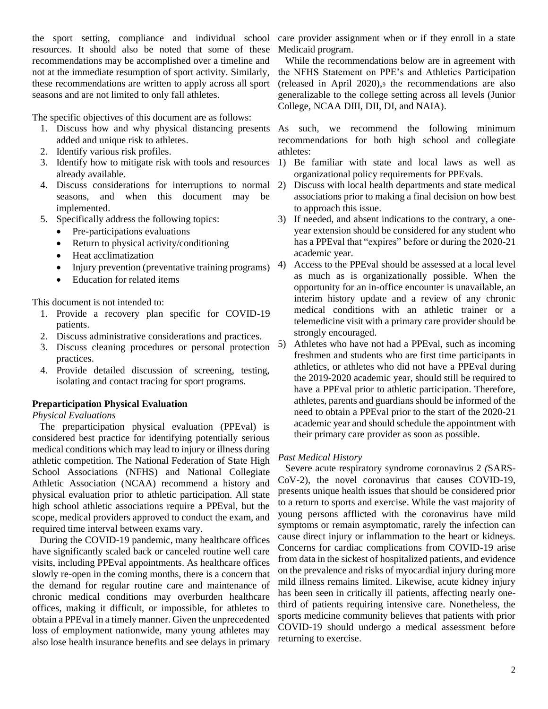resources. It should also be noted that some of these recommendations may be accomplished over a timeline and not at the immediate resumption of sport activity. Similarly, these recommendations are written to apply across all sport seasons and are not limited to only fall athletes.

The specific objectives of this document are as follows:

- added and unique risk to athletes.
- 2. Identify various risk profiles.
- 3. Identify how to mitigate risk with tools and resources already available.
- 4. Discuss considerations for interruptions to normal seasons, and when this document may be implemented.
- 5. Specifically address the following topics:
	- Pre-participations evaluations
	- Return to physical activity/conditioning
	- Heat acclimatization
	- Injury prevention (preventative training programs)
	- Education for related items

This document is not intended to:

- 1. Provide a recovery plan specific for COVID-19 patients.
- 2. Discuss administrative considerations and practices.
- 3. Discuss cleaning procedures or personal protection practices.
- 4. Provide detailed discussion of screening, testing, isolating and contact tracing for sport programs.

#### **Preparticipation Physical Evaluation**

#### *Physical Evaluations*

 The preparticipation physical evaluation (PPEval) is considered best practice for identifying potentially serious medical conditions which may lead to injury or illness during athletic competition. The National Federation of State High School Associations (NFHS) and National Collegiate Athletic Association (NCAA) recommend a history and physical evaluation prior to athletic participation. All state high school athletic associations require a PPEval, but the scope, medical providers approved to conduct the exam, and required time interval between exams vary.

 During the COVID-19 pandemic, many healthcare offices have significantly scaled back or canceled routine well care visits, including PPEval appointments. As healthcare offices slowly re-open in the coming months, there is a concern that the demand for regular routine care and maintenance of chronic medical conditions may overburden healthcare offices, making it difficult, or impossible, for athletes to obtain a PPEval in a timely manner. Given the unprecedented loss of employment nationwide, many young athletes may also lose health insurance benefits and see delays in primary

the sport setting, compliance and individual school care provider assignment when or if they enroll in a state Medicaid program.

> While the recommendations below are in agreement with the NFHS Statement on PPE's and Athletics Participation (released in April 2020),<sup>9</sup> the recommendations are also generalizable to the college setting across all levels (Junior College, NCAA DIII, DII, DI, and NAIA).

1. Discuss how and why physical distancing presents As such, we recommend the following minimum recommendations for both high school and collegiate athletes:

- 1) Be familiar with state and local laws as well as organizational policy requirements for PPEvals.
- 2) Discuss with local health departments and state medical associations prior to making a final decision on how best to approach this issue.
- 3) If needed, and absent indications to the contrary, a oneyear extension should be considered for any student who has a PPEval that "expires" before or during the 2020-21 academic year.
- 4) Access to the PPEval should be assessed at a local level as much as is organizationally possible. When the opportunity for an in-office encounter is unavailable, an interim history update and a review of any chronic medical conditions with an athletic trainer or a telemedicine visit with a primary care provider should be strongly encouraged.
- 5) Athletes who have not had a PPEval, such as incoming freshmen and students who are first time participants in athletics, or athletes who did not have a PPEval during the 2019-2020 academic year, should still be required to have a PPEval prior to athletic participation. Therefore, athletes, parents and guardians should be informed of the need to obtain a PPEval prior to the start of the 2020-21 academic year and should schedule the appointment with their primary care provider as soon as possible.

#### *Past Medical History*

 Severe acute respiratory syndrome coronavirus 2 *(*SARS-CoV-2), the novel coronavirus that causes COVID-19, presents unique health issues that should be considered prior to a return to sports and exercise. While the vast majority of young persons afflicted with the coronavirus have mild symptoms or remain asymptomatic, rarely the infection can cause direct injury or inflammation to the heart or kidneys. Concerns for cardiac complications from COVID-19 arise from data in the sickest of hospitalized patients, and evidence on the prevalence and risks of myocardial injury during more mild illness remains limited. Likewise, acute kidney injury has been seen in critically ill patients, affecting nearly onethird of patients requiring intensive care. Nonetheless, the sports medicine community believes that patients with prior COVID-19 should undergo a medical assessment before returning to exercise.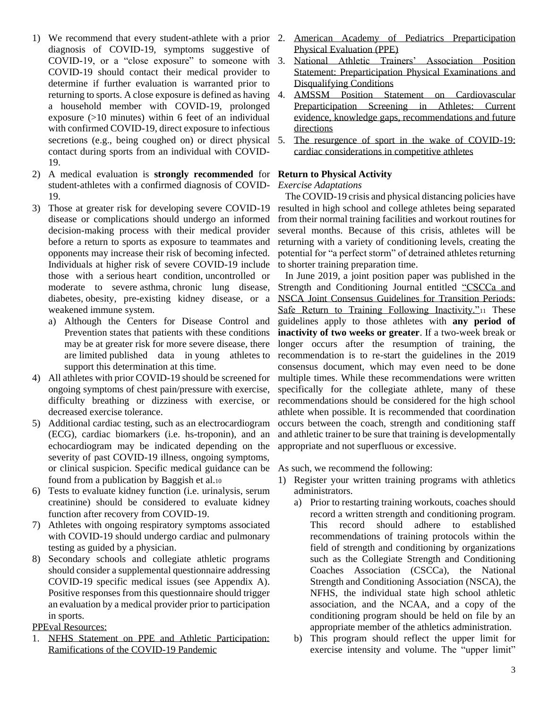- 1) We recommend that every student-athlete with a prior diagnosis of COVID-19, symptoms suggestive of COVID-19, or a "close exposure" to someone with COVID-19 should contact their medical provider to determine if further evaluation is warranted prior to returning to sports. A close exposure is defined as having a household member with COVID-19, prolonged exposure (>10 minutes) within 6 feet of an individual with confirmed COVID-19, direct exposure to infectious secretions (e.g., being coughed on) or direct physical 5. contact during sports from an individual with COVID-19.
- 2) A medical evaluation is **strongly recommended** for **Return to Physical Activity** student-athletes with a confirmed diagnosis of COVID-19.
- 3) Those at greater risk for developing severe COVID-19 disease or complications should undergo an informed decision-making process with their medical provider before a return to sports as exposure to teammates and opponents may increase their risk of becoming infected. Individuals at higher risk of severe COVID-19 include those with a serious heart condition, uncontrolled or moderate to severe asthma, chronic lung disease, diabetes, obesity, pre-existing kidney disease, or a weakened immune system.
	- a) Although the Centers for Disease Control and Prevention states that patients with these conditions may be at greater risk for more severe disease, there are limited published data in young athletes to support this determination at this time.
- 4) All athletes with prior COVID-19 should be screened for ongoing symptoms of chest pain/pressure with exercise, difficulty breathing or dizziness with exercise, or decreased exercise tolerance.
- 5) Additional cardiac testing, such as an electrocardiogram (ECG), cardiac biomarkers (i.e. hs-troponin), and an echocardiogram may be indicated depending on the severity of past COVID-19 illness, ongoing symptoms, or clinical suspicion. Specific medical guidance can be found from a publication by Baggish et al.<sup>10</sup>
- 6) Tests to evaluate kidney function (i.e. urinalysis, serum creatinine) should be considered to evaluate kidney function after recovery from COVID-19.
- 7) Athletes with ongoing respiratory symptoms associated with COVID-19 should undergo cardiac and pulmonary testing as guided by a physician.
- 8) Secondary schools and collegiate athletic programs should consider a supplemental questionnaire addressing COVID-19 specific medical issues (see Appendix A). Positive responses from this questionnaire should trigger an evaluation by a medical provider prior to participation in sports.

PPEval Resources:

1. [NFHS Statement on PPE and Athletic Participation:](https://www.nfhs.org/media/3812225/nfhs-smac-statement-on-ppe-and-athletic-participation-final-april-2020.pdf)  [Ramifications of the COVID-19 Pandemic](https://www.nfhs.org/media/3812225/nfhs-smac-statement-on-ppe-and-athletic-participation-final-april-2020.pdf)

- 2. [American Academy of Pediatrics Preparticipation](https://www.aap.org/en-us/advocacy-and-policy/aap-health-initiatives/Pages/PPE.aspx)  [Physical Evaluation \(PPE\)](https://www.aap.org/en-us/advocacy-and-policy/aap-health-initiatives/Pages/PPE.aspx)
- 3. [National Athletic Trainers' Association Position](https://natajournals.org/doi/pdf/10.4085/1062-6050-48.6.05)  [Statement: Preparticipation Physical Examinations and](https://natajournals.org/doi/pdf/10.4085/1062-6050-48.6.05)  [Disqualifying Conditions](https://natajournals.org/doi/pdf/10.4085/1062-6050-48.6.05)
- 4. [AMSSM Position Statement on Cardiovascular](https://bjsm-bmj-com.ezproxy.lib.uconn.edu/content/52/9/599)  [Preparticipation Screening in Athletes: Current](https://bjsm-bmj-com.ezproxy.lib.uconn.edu/content/52/9/599)  [evidence, knowledge gaps, recommendations and future](https://bjsm-bmj-com.ezproxy.lib.uconn.edu/content/52/9/599)  [directions](https://bjsm-bmj-com.ezproxy.lib.uconn.edu/content/52/9/599)
- The resurgence of sport in the wake of COVID-19: [cardiac considerations in competitive athletes](https://blogs.bmj.com/bjsm/2020/04/24/the-resurgence-of-sport-in-the-wake-of-covid-19-cardiac-considerations-in-competitive-athletes/)

# *Exercise Adaptations*

 The COVID-19 crisis and physical distancing policies have resulted in high school and college athletes being separated from their normal training facilities and workout routines for several months. Because of this crisis, athletes will be returning with a variety of conditioning levels, creating the potential for "a perfect storm" of detrained athletes returning to shorter training preparation time.

 In June 2019, a joint position paper was published in the Strength and Conditioning Journal entitled ["CSCCa and](https://journals.lww.com/nsca-scj/Fulltext/2019/06000/CSCCa_and_NSCA_Joint_Consensus_Guidelines_for.1.aspx?utm_source=Consumer+Media+List&utm_campaign=03cdbd4f5a-EMAIL_CAMPAIGN_2019_06_03_03_27&utm_medium=email&utm_term=0_12ff183214-03cdbd4f5a-267014777)  [NSCA Joint Consensus Guidelines for Transition Periods:](https://journals.lww.com/nsca-scj/Fulltext/2019/06000/CSCCa_and_NSCA_Joint_Consensus_Guidelines_for.1.aspx?utm_source=Consumer+Media+List&utm_campaign=03cdbd4f5a-EMAIL_CAMPAIGN_2019_06_03_03_27&utm_medium=email&utm_term=0_12ff183214-03cdbd4f5a-267014777)  [Safe Return to Training Following Inactivity."](https://journals.lww.com/nsca-scj/Fulltext/2019/06000/CSCCa_and_NSCA_Joint_Consensus_Guidelines_for.1.aspx?utm_source=Consumer+Media+List&utm_campaign=03cdbd4f5a-EMAIL_CAMPAIGN_2019_06_03_03_27&utm_medium=email&utm_term=0_12ff183214-03cdbd4f5a-267014777)<sup>11</sup> These guidelines apply to those athletes with **any period of inactivity of two weeks or greater**. If a two-week break or longer occurs after the resumption of training, the recommendation is to re-start the guidelines in the 2019 consensus document, which may even need to be done multiple times. While these recommendations were written specifically for the collegiate athlete, many of these recommendations should be considered for the high school athlete when possible. It is recommended that coordination occurs between the coach, strength and conditioning staff and athletic trainer to be sure that training is developmentally appropriate and not superfluous or excessive.

As such, we recommend the following:

- 1) Register your written training programs with athletics administrators.
	- a) Prior to restarting training workouts, coaches should record a written strength and conditioning program. This record should adhere to established recommendations of training protocols within the field of strength and conditioning by organizations such as the Collegiate Strength and Conditioning Coaches Association (CSCCa), the National Strength and Conditioning Association (NSCA), the NFHS, the individual state high school athletic association, and the NCAA, and a copy of the conditioning program should be held on file by an appropriate member of the athletics administration.
	- b) This program should reflect the upper limit for exercise intensity and volume. The "upper limit"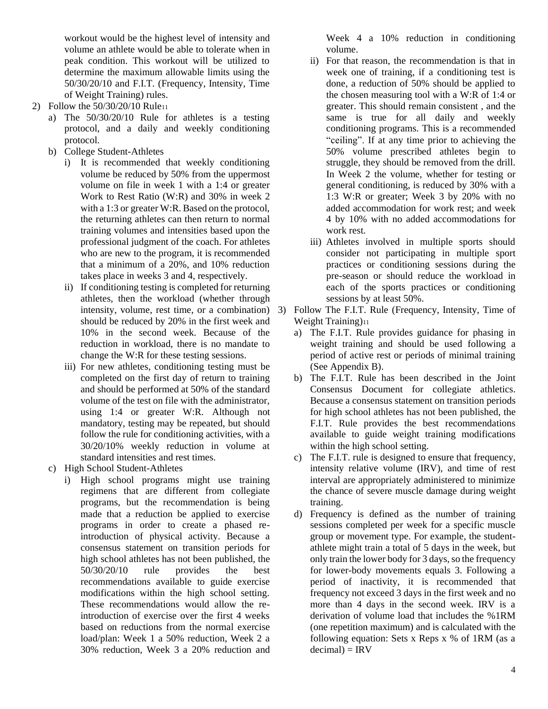workout would be the highest level of intensity and volume an athlete would be able to tolerate when in peak condition. This workout will be utilized to determine the maximum allowable limits using the 50/30/20/10 and F.I.T. (Frequency, Intensity, Time of Weight Training) rules.

- 2) Follow the 50/30/20/10 Rule<sup>11</sup>
	- a) The 50/30/20/10 Rule for athletes is a testing protocol, and a daily and weekly conditioning protocol.
	- b) College Student-Athletes
		- i) It is recommended that weekly conditioning volume be reduced by 50% from the uppermost volume on file in week 1 with a 1:4 or greater Work to Rest Ratio (W:R) and 30% in week 2 with a 1:3 or greater W:R. Based on the protocol. the returning athletes can then return to normal training volumes and intensities based upon the professional judgment of the coach. For athletes who are new to the program, it is recommended that a minimum of a 20%, and 10% reduction takes place in weeks 3 and 4, respectively.
		- ii) If conditioning testing is completed for returning athletes, then the workload (whether through intensity, volume, rest time, or a combination) 3) should be reduced by 20% in the first week and 10% in the second week. Because of the reduction in workload, there is no mandate to change the W:R for these testing sessions.
		- iii) For new athletes, conditioning testing must be completed on the first day of return to training and should be performed at 50% of the standard volume of the test on file with the administrator, using 1:4 or greater W:R. Although not mandatory, testing may be repeated, but should follow the rule for conditioning activities, with a 30/20/10% weekly reduction in volume at standard intensities and rest times.
	- c) High School Student-Athletes
		- i) High school programs might use training regimens that are different from collegiate programs, but the recommendation is being made that a reduction be applied to exercise programs in order to create a phased reintroduction of physical activity. Because a consensus statement on transition periods for high school athletes has not been published, the 50/30/20/10 rule provides the best recommendations available to guide exercise modifications within the high school setting. These recommendations would allow the reintroduction of exercise over the first 4 weeks based on reductions from the normal exercise load/plan: Week 1 a 50% reduction, Week 2 a 30% reduction, Week 3 a 20% reduction and

Week 4 a 10% reduction in conditioning volume.

- ii) For that reason, the recommendation is that in week one of training, if a conditioning test is done, a reduction of 50% should be applied to the chosen measuring tool with a W:R of 1:4 or greater. This should remain consistent , and the same is true for all daily and weekly conditioning programs. This is a recommended "ceiling". If at any time prior to achieving the 50% volume prescribed athletes begin to struggle, they should be removed from the drill. In Week 2 the volume, whether for testing or general conditioning, is reduced by 30% with a 1:3 W:R or greater; Week 3 by 20% with no added accommodation for work rest; and week 4 by 10% with no added accommodations for work rest.
- iii) Athletes involved in multiple sports should consider not participating in multiple sport practices or conditioning sessions during the pre-season or should reduce the workload in each of the sports practices or conditioning sessions by at least 50%.
- 3) Follow The F.I.T. Rule (Frequency, Intensity, Time of Weight Training)<sup>11</sup>
	- a) The F.I.T. Rule provides guidance for phasing in weight training and should be used following a period of active rest or periods of minimal training (See Appendix B).
	- b) The F.I.T. Rule has been described in the Joint Consensus Document for collegiate athletics. Because a consensus statement on transition periods for high school athletes has not been published, the F.I.T. Rule provides the best recommendations available to guide weight training modifications within the high school setting.
	- c) The F.I.T. rule is designed to ensure that frequency, intensity relative volume (IRV), and time of rest interval are appropriately administered to minimize the chance of severe muscle damage during weight training.
	- d) Frequency is defined as the number of training sessions completed per week for a specific muscle group or movement type. For example, the studentathlete might train a total of 5 days in the week, but only train the lower body for 3 days, so the frequency for lower-body movements equals 3. Following a period of inactivity, it is recommended that frequency not exceed 3 days in the first week and no more than 4 days in the second week. IRV is a derivation of volume load that includes the %1RM (one repetition maximum) and is calculated with the following equation: Sets x Reps x % of 1RM (as a  $decimal) = IRV$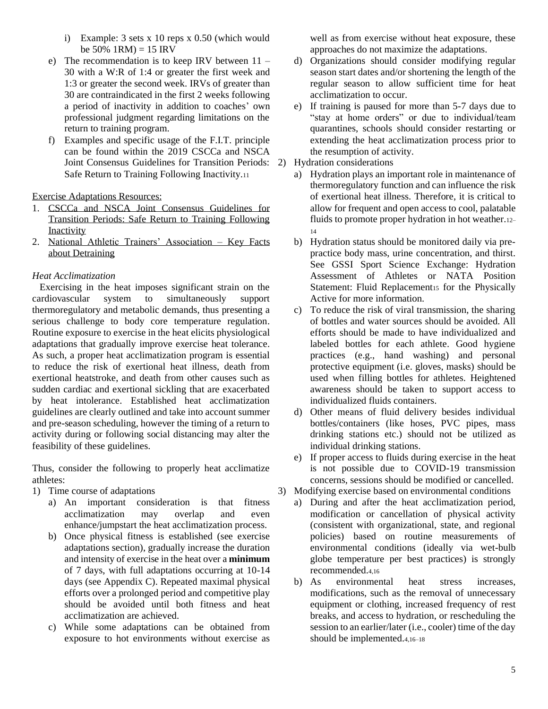- i) Example: 3 sets x 10 reps x 0.50 (which would be  $50\%$  1RM) = 15 IRV
- e) The recommendation is to keep IRV between 11 30 with a W:R of 1:4 or greater the first week and 1:3 or greater the second week. IRVs of greater than 30 are contraindicated in the first 2 weeks following a period of inactivity in addition to coaches' own professional judgment regarding limitations on the return to training program.
- f) Examples and specific usage of the F.I.T. principle can be found within the 2019 [CSCCa and NSCA](https://journals.lww.com/nsca-scj/Fulltext/2019/06000/CSCCa_and_NSCA_Joint_Consensus_Guidelines_for.1.aspx?utm_source=Consumer+Media+List&utm_campaign=03cdbd4f5a-EMAIL_CAMPAIGN_2019_06_03_03_27&utm_medium=email&utm_term=0_12ff183214-03cdbd4f5a-267014777)  [Joint Consensus Guidelines for Transition Periods:](https://journals.lww.com/nsca-scj/Fulltext/2019/06000/CSCCa_and_NSCA_Joint_Consensus_Guidelines_for.1.aspx?utm_source=Consumer+Media+List&utm_campaign=03cdbd4f5a-EMAIL_CAMPAIGN_2019_06_03_03_27&utm_medium=email&utm_term=0_12ff183214-03cdbd4f5a-267014777)  2) Hydration considerations [Safe Return to Training Following Inactivity.](https://journals.lww.com/nsca-scj/Fulltext/2019/06000/CSCCa_and_NSCA_Joint_Consensus_Guidelines_for.1.aspx?utm_source=Consumer+Media+List&utm_campaign=03cdbd4f5a-EMAIL_CAMPAIGN_2019_06_03_03_27&utm_medium=email&utm_term=0_12ff183214-03cdbd4f5a-267014777)<sup>11</sup>

Exercise Adaptations Resources:

- 1. CSCCa [and NSCA Joint Consensus Guidelines for](https://www.cscca.org/document/CSCCa_and_NSCA_Joint_Consensus_Guidelines_for_Transition_Periods)  [Transition Periods: Safe Return to Training Following](https://www.cscca.org/document/CSCCa_and_NSCA_Joint_Consensus_Guidelines_for_Transition_Periods)  [Inactivity](https://www.cscca.org/document/CSCCa_and_NSCA_Joint_Consensus_Guidelines_for_Transition_Periods)
- 2. [National Athletic Trainers' Association –](https://www.nata.org/sites/default/files/key_facts_about_detraining_-_ic.pdf) Key Facts [about Detraining](https://www.nata.org/sites/default/files/key_facts_about_detraining_-_ic.pdf)

# *Heat Acclimatization*

 Exercising in the heat imposes significant strain on the cardiovascular system to simultaneously support thermoregulatory and metabolic demands, thus presenting a serious challenge to body core temperature regulation. Routine exposure to exercise in the heat elicits physiological adaptations that gradually improve exercise heat tolerance. As such, a proper heat acclimatization program is essential to reduce the risk of exertional heat illness, death from exertional heatstroke, and death from other causes such as sudden cardiac and exertional sickling that are exacerbated by heat intolerance. Established heat acclimatization guidelines are clearly outlined and take into account summer and pre-season scheduling, however the timing of a return to activity during or following social distancing may alter the feasibility of these guidelines.

Thus, consider the following to properly heat acclimatize athletes:

- 1) Time course of adaptations
	- a) An important consideration is that fitness acclimatization may overlap and even enhance/jumpstart the heat acclimatization process.
	- b) Once physical fitness is established (see exercise adaptations section), gradually increase the duration and intensity of exercise in the heat over a **minimum** of 7 days, with full adaptations occurring at 10-14 days (see Appendix C). Repeated maximal physical efforts over a prolonged period and competitive play should be avoided until both fitness and heat acclimatization are achieved.
	- c) While some adaptations can be obtained from exposure to hot environments without exercise as

well as from exercise without heat exposure, these approaches do not maximize the adaptations.

- d) Organizations should consider modifying regular season start dates and/or shortening the length of the regular season to allow sufficient time for heat acclimatization to occur.
- e) If training is paused for more than 5-7 days due to "stay at home orders" or due to individual/team quarantines, schools should consider restarting or extending the heat acclimatization process prior to the resumption of activity.
- - a) Hydration plays an important role in maintenance of thermoregulatory function and can influence the risk of exertional heat illness. Therefore, it is critical to allow for frequent and open access to cool, palatable fluids to promote proper hydration in hot weather.12– 14
	- b) Hydration status should be monitored daily via prepractice body mass, urine concentration, and thirst. See [GSSI Sport Science Exchange: Hydration](https://www.gssiweb.org/sports-science-exchange/article/sse-97-hydration-assessment-of-athletes)  [Assessment of Athletes](https://www.gssiweb.org/sports-science-exchange/article/sse-97-hydration-assessment-of-athletes) or [NATA Position](https://watermark.silverchair.com/1062-6050-52_9_02.pdf?token=AQECAHi208BE49Ooan9kkhW_Ercy7Dm3ZL_9Cf3qfKAc485ysgAAAmkwggJlBgkqhkiG9w0BBwagggJWMIICUgIBADCCAksGCSqGSIb3DQEHATAeBglghkgBZQMEAS4wEQQMqZAlhZrsT7UmrBfUAgEQgIICHFRJFHcRbFXuT_jecVGOBOymxHmbQhedBSTZ1989AzH0ZiCDEtVxVIsPA18Vab4pg8xkS55_lJ4ANWIxNAhUJfcfAYXnn9PhMu_xum9xzomg7EjyXRPiXheHdnv6wF9OSamU8eyrGFV68uDCeNdusWDwTeFWatkKqLUZIYjJ4pp4FUb3Zg1mvxmeVTEJpXN2oSgiF30SIzATWS5ox1YvDSZIyC-xZ5PbFAxamF2pAs1II4_6Liq3r6cFrQlS2S-sJwmsB0TfQSOXjV3A6Rm13OJ-1nF3FICYJlsKT44s7laRotZBXTvXBjiP03fooeF8m0cNz-y4gC65NMIq6eCLr3xrN4n0w1NtM08iaD39b_DYL85yoAp-1MuvZRO3dFTS7q1WLjRvmMQCqjMEBE_YNX-fQRW8SdR0v09oi4JidPhV_1XF0CIWehdAsSdFmunFME7lke9BgEPdug-6JE5SAaAFOG3EDuGCgIrA8ODHr-ClLcmtnXnnP2GEgXB1ZJu2mBNEREDJhV7SB7JZgJy3nVl-AYMjK1k9pXlcix5d5mySdyIj_F0K3wDxESSN9aiZaN8F_JBK_u-0VxY9mB7jAVmEvAVwwtyXvZK0GuxPlvWWgeDLCqLLei4PeKmgruABnt2qHkCBgD5t2NlMFT4oBT6tTPZeSIWj-T08p26dmBbxjnMm3vrSXYLxFh6fSpcJQkG83HlgiFGVfzz_kA)  [Statement: Fluid Replacement](https://watermark.silverchair.com/1062-6050-52_9_02.pdf?token=AQECAHi208BE49Ooan9kkhW_Ercy7Dm3ZL_9Cf3qfKAc485ysgAAAmkwggJlBgkqhkiG9w0BBwagggJWMIICUgIBADCCAksGCSqGSIb3DQEHATAeBglghkgBZQMEAS4wEQQMqZAlhZrsT7UmrBfUAgEQgIICHFRJFHcRbFXuT_jecVGOBOymxHmbQhedBSTZ1989AzH0ZiCDEtVxVIsPA18Vab4pg8xkS55_lJ4ANWIxNAhUJfcfAYXnn9PhMu_xum9xzomg7EjyXRPiXheHdnv6wF9OSamU8eyrGFV68uDCeNdusWDwTeFWatkKqLUZIYjJ4pp4FUb3Zg1mvxmeVTEJpXN2oSgiF30SIzATWS5ox1YvDSZIyC-xZ5PbFAxamF2pAs1II4_6Liq3r6cFrQlS2S-sJwmsB0TfQSOXjV3A6Rm13OJ-1nF3FICYJlsKT44s7laRotZBXTvXBjiP03fooeF8m0cNz-y4gC65NMIq6eCLr3xrN4n0w1NtM08iaD39b_DYL85yoAp-1MuvZRO3dFTS7q1WLjRvmMQCqjMEBE_YNX-fQRW8SdR0v09oi4JidPhV_1XF0CIWehdAsSdFmunFME7lke9BgEPdug-6JE5SAaAFOG3EDuGCgIrA8ODHr-ClLcmtnXnnP2GEgXB1ZJu2mBNEREDJhV7SB7JZgJy3nVl-AYMjK1k9pXlcix5d5mySdyIj_F0K3wDxESSN9aiZaN8F_JBK_u-0VxY9mB7jAVmEvAVwwtyXvZK0GuxPlvWWgeDLCqLLei4PeKmgruABnt2qHkCBgD5t2NlMFT4oBT6tTPZeSIWj-T08p26dmBbxjnMm3vrSXYLxFh6fSpcJQkG83HlgiFGVfzz_kA)<sub>15</sub> for the Physically [Active](https://watermark.silverchair.com/1062-6050-52_9_02.pdf?token=AQECAHi208BE49Ooan9kkhW_Ercy7Dm3ZL_9Cf3qfKAc485ysgAAAmkwggJlBgkqhkiG9w0BBwagggJWMIICUgIBADCCAksGCSqGSIb3DQEHATAeBglghkgBZQMEAS4wEQQMqZAlhZrsT7UmrBfUAgEQgIICHFRJFHcRbFXuT_jecVGOBOymxHmbQhedBSTZ1989AzH0ZiCDEtVxVIsPA18Vab4pg8xkS55_lJ4ANWIxNAhUJfcfAYXnn9PhMu_xum9xzomg7EjyXRPiXheHdnv6wF9OSamU8eyrGFV68uDCeNdusWDwTeFWatkKqLUZIYjJ4pp4FUb3Zg1mvxmeVTEJpXN2oSgiF30SIzATWS5ox1YvDSZIyC-xZ5PbFAxamF2pAs1II4_6Liq3r6cFrQlS2S-sJwmsB0TfQSOXjV3A6Rm13OJ-1nF3FICYJlsKT44s7laRotZBXTvXBjiP03fooeF8m0cNz-y4gC65NMIq6eCLr3xrN4n0w1NtM08iaD39b_DYL85yoAp-1MuvZRO3dFTS7q1WLjRvmMQCqjMEBE_YNX-fQRW8SdR0v09oi4JidPhV_1XF0CIWehdAsSdFmunFME7lke9BgEPdug-6JE5SAaAFOG3EDuGCgIrA8ODHr-ClLcmtnXnnP2GEgXB1ZJu2mBNEREDJhV7SB7JZgJy3nVl-AYMjK1k9pXlcix5d5mySdyIj_F0K3wDxESSN9aiZaN8F_JBK_u-0VxY9mB7jAVmEvAVwwtyXvZK0GuxPlvWWgeDLCqLLei4PeKmgruABnt2qHkCBgD5t2NlMFT4oBT6tTPZeSIWj-T08p26dmBbxjnMm3vrSXYLxFh6fSpcJQkG83HlgiFGVfzz_kA) for more information.
	- c) To reduce the risk of viral transmission, the sharing of bottles and water sources should be avoided. All efforts should be made to have individualized and labeled bottles for each athlete. Good hygiene practices (e.g., hand washing) and personal protective equipment (i.e. gloves, masks) should be used when filling bottles for athletes. Heightened awareness should be taken to support access to individualized fluids containers.
	- d) Other means of fluid delivery besides individual bottles/containers (like hoses, PVC pipes, mass drinking stations etc.) should not be utilized as individual drinking stations.
	- e) If proper access to fluids during exercise in the heat is not possible due to COVID-19 transmission concerns, sessions should be modified or cancelled.
- 3) Modifying exercise based on environmental conditions
	- a) During and after the heat acclimatization period, modification or cancellation of physical activity (consistent with organizational, state, and regional policies) based on routine measurements of environmental conditions (ideally via wet-bulb globe temperature per best practices) is strongly recommended.4,16
	- b) As environmental heat stress increases, modifications, such as the removal of unnecessary equipment or clothing, increased frequency of rest breaks, and access to hydration, or rescheduling the session to an earlier/later (i.e., cooler) time of the day should be implemented.4,16–18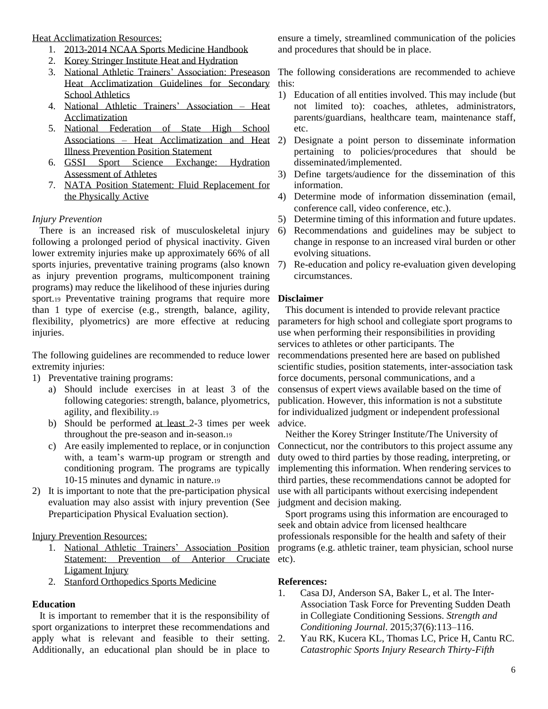Heat Acclimatization Resources:

- 1. [2013-2014 NCAA Sports Medicine Handbook](https://www.ncaa.org/sites/default/files/SMHB%20Mental%20Health%20INterventions.pdf)
- 2. [Korey Stringer Institute Heat and Hydration](https://ksi.uconn.edu/wp-content/uploads/sites/1222/2015/03/Heat-and-Hydration-HUF.pdf)
- 3. [National Athletic Trainers' Association: Preseason](https://natajournals.org/doi/pdf/10.4085/1062-6050-44.3.332)  [Heat Acclimatization Guidelines for Secondary](https://natajournals.org/doi/pdf/10.4085/1062-6050-44.3.332) this: [School Athletics](https://natajournals.org/doi/pdf/10.4085/1062-6050-44.3.332)
- 4. [National Athletic Trainers' Association –](http://nata.org/practice-patient-care/health-issues/heat-acclimatization) Heat [Acclimatization](http://nata.org/practice-patient-care/health-issues/heat-acclimatization)
- 5. [National Federation of State High School](https://www.nfhs.org/media/1014745/nfhs-heat-acclimatization-final-april-2018.pdf)  Associations – [Heat Acclimatization and Heat](https://www.nfhs.org/media/1014745/nfhs-heat-acclimatization-final-april-2018.pdf) 2) [Illness Prevention Position Statement](https://www.nfhs.org/media/1014745/nfhs-heat-acclimatization-final-april-2018.pdf)
- 6. [GSSI Sport Science Exchange: Hydration](https://www.gssiweb.org/sports-science-exchange/article/sse-97-hydration-assessment-of-athletes)  [Assessment of Athletes](https://www.gssiweb.org/sports-science-exchange/article/sse-97-hydration-assessment-of-athletes)
- 7. [NATA Position Statement: Fluid Replacement for](https://watermark.silverchair.com/1062-6050-52_9_02.pdf?token=AQECAHi208BE49Ooan9kkhW_Ercy7Dm3ZL_9Cf3qfKAc485ysgAAAmkwggJlBgkqhkiG9w0BBwagggJWMIICUgIBADCCAksGCSqGSIb3DQEHATAeBglghkgBZQMEAS4wEQQMqZAlhZrsT7UmrBfUAgEQgIICHFRJFHcRbFXuT_jecVGOBOymxHmbQhedBSTZ1989AzH0ZiCDEtVxVIsPA18Vab4pg8xkS55_lJ4ANWIxNAhUJfcfAYXnn9PhMu_xum9xzomg7EjyXRPiXheHdnv6wF9OSamU8eyrGFV68uDCeNdusWDwTeFWatkKqLUZIYjJ4pp4FUb3Zg1mvxmeVTEJpXN2oSgiF30SIzATWS5ox1YvDSZIyC-xZ5PbFAxamF2pAs1II4_6Liq3r6cFrQlS2S-sJwmsB0TfQSOXjV3A6Rm13OJ-1nF3FICYJlsKT44s7laRotZBXTvXBjiP03fooeF8m0cNz-y4gC65NMIq6eCLr3xrN4n0w1NtM08iaD39b_DYL85yoAp-1MuvZRO3dFTS7q1WLjRvmMQCqjMEBE_YNX-fQRW8SdR0v09oi4JidPhV_1XF0CIWehdAsSdFmunFME7lke9BgEPdug-6JE5SAaAFOG3EDuGCgIrA8ODHr-ClLcmtnXnnP2GEgXB1ZJu2mBNEREDJhV7SB7JZgJy3nVl-AYMjK1k9pXlcix5d5mySdyIj_F0K3wDxESSN9aiZaN8F_JBK_u-0VxY9mB7jAVmEvAVwwtyXvZK0GuxPlvWWgeDLCqLLei4PeKmgruABnt2qHkCBgD5t2NlMFT4oBT6tTPZeSIWj-T08p26dmBbxjnMm3vrSXYLxFh6fSpcJQkG83HlgiFGVfzz_kA)  [the Physically Active](https://watermark.silverchair.com/1062-6050-52_9_02.pdf?token=AQECAHi208BE49Ooan9kkhW_Ercy7Dm3ZL_9Cf3qfKAc485ysgAAAmkwggJlBgkqhkiG9w0BBwagggJWMIICUgIBADCCAksGCSqGSIb3DQEHATAeBglghkgBZQMEAS4wEQQMqZAlhZrsT7UmrBfUAgEQgIICHFRJFHcRbFXuT_jecVGOBOymxHmbQhedBSTZ1989AzH0ZiCDEtVxVIsPA18Vab4pg8xkS55_lJ4ANWIxNAhUJfcfAYXnn9PhMu_xum9xzomg7EjyXRPiXheHdnv6wF9OSamU8eyrGFV68uDCeNdusWDwTeFWatkKqLUZIYjJ4pp4FUb3Zg1mvxmeVTEJpXN2oSgiF30SIzATWS5ox1YvDSZIyC-xZ5PbFAxamF2pAs1II4_6Liq3r6cFrQlS2S-sJwmsB0TfQSOXjV3A6Rm13OJ-1nF3FICYJlsKT44s7laRotZBXTvXBjiP03fooeF8m0cNz-y4gC65NMIq6eCLr3xrN4n0w1NtM08iaD39b_DYL85yoAp-1MuvZRO3dFTS7q1WLjRvmMQCqjMEBE_YNX-fQRW8SdR0v09oi4JidPhV_1XF0CIWehdAsSdFmunFME7lke9BgEPdug-6JE5SAaAFOG3EDuGCgIrA8ODHr-ClLcmtnXnnP2GEgXB1ZJu2mBNEREDJhV7SB7JZgJy3nVl-AYMjK1k9pXlcix5d5mySdyIj_F0K3wDxESSN9aiZaN8F_JBK_u-0VxY9mB7jAVmEvAVwwtyXvZK0GuxPlvWWgeDLCqLLei4PeKmgruABnt2qHkCBgD5t2NlMFT4oBT6tTPZeSIWj-T08p26dmBbxjnMm3vrSXYLxFh6fSpcJQkG83HlgiFGVfzz_kA)

# *Injury Prevention*

 There is an increased risk of musculoskeletal injury following a prolonged period of physical inactivity. Given lower extremity injuries make up approximately 66% of all sports injuries, preventative training programs (also known as injury prevention programs, multicomponent training programs) may reduce the likelihood of these injuries during sport.19 Preventative training programs that require more than 1 type of exercise (e.g., strength, balance, agility, flexibility, plyometrics) are more effective at reducing injuries.

The following guidelines are recommended to reduce lower extremity injuries:

- 1) Preventative training programs:
	- a) Should include exercises in at least 3 of the following categories: strength, balance, plyometrics, agility, and flexibility.<sup>19</sup>
	- b) Should be performed at least 2-3 times per week throughout the pre-season and in-season.<sup>19</sup>
	- c) Are easily implemented to replace, or in conjunction with, a team's warm-up program or strength and conditioning program. The programs are typically 10-15 minutes and dynamic in nature.<sup>19</sup>
- 2) It is important to note that the pre-participation physical evaluation may also assist with injury prevention (See Preparticipation Physical Evaluation section).

Injury Prevention Resources:

- [Statement: Prevention of Anterior Cruciate](https://www.nata.org/sites/default/files/prevention_of_anterior_cruciate_ligament_acl_injury_position_statement.pdf) etc). [Ligament Injury](https://www.nata.org/sites/default/files/prevention_of_anterior_cruciate_ligament_acl_injury_position_statement.pdf)
- 2. [Stanford Orthopedics Sports Medicine](http://www.sanfordpower.com/wp-content/uploads/2017/04/014000-00428-BOOKLET-Skipp-Exercises-8_5x8_5-1.pdf)

# **Education**

 It is important to remember that it is the responsibility of sport organizations to interpret these recommendations and apply what is relevant and feasible to their setting. 2. Additionally, an educational plan should be in place to

ensure a timely, streamlined communication of the policies and procedures that should be in place.

The following considerations are recommended to achieve

- 1) Education of all entities involved. This may include (but not limited to): coaches, athletes, administrators, parents/guardians, healthcare team, maintenance staff, etc.
- 2) Designate a point person to disseminate information pertaining to policies/procedures that should be disseminated/implemented.
- 3) Define targets/audience for the dissemination of this information.
- 4) Determine mode of information dissemination (email, conference call, video conference, etc.).
- 5) Determine timing of this information and future updates.
- 6) Recommendations and guidelines may be subject to change in response to an increased viral burden or other evolving situations.
- 7) Re-education and policy re-evaluation given developing circumstances.

#### **Disclaimer**

 This document is intended to provide relevant practice parameters for high school and collegiate sport programs to use when performing their responsibilities in providing services to athletes or other participants. The recommendations presented here are based on published scientific studies, position statements, inter-association task force documents, personal communications, and a consensus of expert views available based on the time of publication. However, this information is not a substitute for individualized judgment or independent professional advice.

 Neither the Korey Stringer Institute/The University of Connecticut, nor the contributors to this project assume any duty owed to third parties by those reading, interpreting, or implementing this information. When rendering services to third parties, these recommendations cannot be adopted for use with all participants without exercising independent judgment and decision making.

1. [National Athletic Trainers' Association Position](https://www.nata.org/sites/default/files/prevention_of_anterior_cruciate_ligament_acl_injury_position_statement.pdf)  programs (e.g. athletic trainer, team physician, school nurse Sport programs using this information are encouraged to seek and obtain advice from licensed healthcare professionals responsible for the health and safety of their

#### **References:**

- 1. Casa DJ, Anderson SA, Baker L, et al. The Inter-Association Task Force for Preventing Sudden Death in Collegiate Conditioning Sessions. *Strength and Conditioning Journal*. 2015;37(6):113–116.
- Yau RK, Kucera KL, Thomas LC, Price H, Cantu RC. *Catastrophic Sports Injury Research Thirty-Fifth*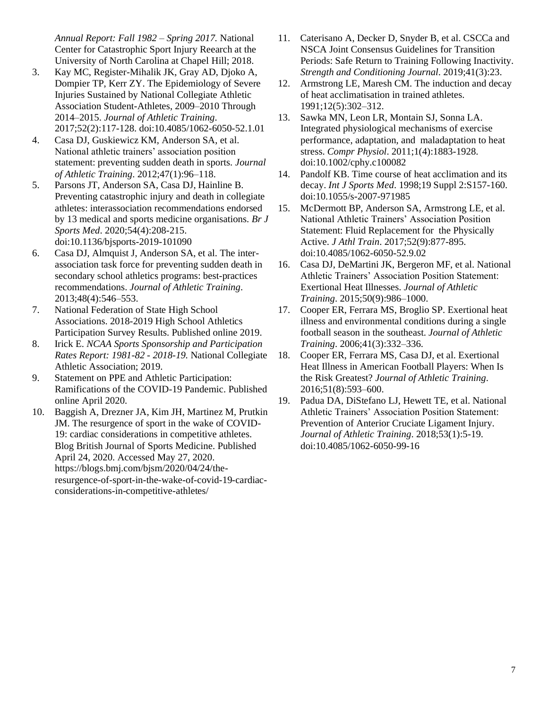*Annual Report: Fall 1982 – Spring 2017.* National Center for Catastrophic Sport Injury Reearch at the University of North Carolina at Chapel Hill; 2018.

- 3. Kay MC, Register-Mihalik JK, Gray AD, Djoko A, Dompier TP, Kerr ZY. The Epidemiology of Severe Injuries Sustained by National Collegiate Athletic Association Student-Athletes, 2009–2010 Through 2014–2015. *Journal of Athletic Training*. 2017;52(2):117-128. doi:10.4085/1062-6050-52.1.01
- 4. Casa DJ, Guskiewicz KM, Anderson SA, et al. National athletic trainers' association position statement: preventing sudden death in sports. *Journal of Athletic Training*. 2012;47(1):96–118.
- 5. Parsons JT, Anderson SA, Casa DJ, Hainline B. Preventing catastrophic injury and death in collegiate athletes: interassociation recommendations endorsed by 13 medical and sports medicine organisations. *Br J Sports Med*. 2020;54(4):208-215. doi:10.1136/bjsports-2019-101090
- 6. Casa DJ, Almquist J, Anderson SA, et al. The interassociation task force for preventing sudden death in secondary school athletics programs: best-practices recommendations. *Journal of Athletic Training*. 2013;48(4):546–553.
- 7. National Federation of State High School Associations. 2018-2019 High School Athletics Participation Survey Results. Published online 2019.
- 8. Irick E. *NCAA Sports Sponsorship and Participation Rates Report: 1981-82 - 2018-19.* National Collegiate Athletic Association; 2019.
- 9. Statement on PPE and Athletic Participation: Ramifications of the COVID-19 Pandemic. Published online April 2020.
- 10. Baggish A, Drezner JA, Kim JH, Martinez M, Prutkin JM. The resurgence of sport in the wake of COVID-19: cardiac considerations in competitive athletes. Blog British Journal of Sports Medicine. Published April 24, 2020. Accessed May 27, 2020. https://blogs.bmj.com/bjsm/2020/04/24/theresurgence-of-sport-in-the-wake-of-covid-19-cardiacconsiderations-in-competitive-athletes/
- 11. Caterisano A, Decker D, Snyder B, et al. CSCCa and NSCA Joint Consensus Guidelines for Transition Periods: Safe Return to Training Following Inactivity. *Strength and Conditioning Journal*. 2019;41(3):23.
- 12. Armstrong LE, Maresh CM. The induction and decay of heat acclimatisation in trained athletes. 1991;12(5):302–312.
- 13. Sawka MN, Leon LR, Montain SJ, Sonna LA. Integrated physiological mechanisms of exercise performance, adaptation, and maladaptation to heat stress. *Compr Physiol*. 2011;1(4):1883-1928. doi:10.1002/cphy.c100082
- 14. Pandolf KB. Time course of heat acclimation and its decay. *Int J Sports Med*. 1998;19 Suppl 2:S157-160. doi:10.1055/s-2007-971985
- 15. McDermott BP, Anderson SA, Armstrong LE, et al. National Athletic Trainers' Association Position Statement: Fluid Replacement for the Physically Active. *J Athl Train*. 2017;52(9):877-895. doi:10.4085/1062-6050-52.9.02
- 16. Casa DJ, DeMartini JK, Bergeron MF, et al. National Athletic Trainers' Association Position Statement: Exertional Heat Illnesses. *Journal of Athletic Training*. 2015;50(9):986–1000.
- 17. Cooper ER, Ferrara MS, Broglio SP. Exertional heat illness and environmental conditions during a single football season in the southeast. *Journal of Athletic Training*. 2006;41(3):332–336.
- 18. Cooper ER, Ferrara MS, Casa DJ, et al. Exertional Heat Illness in American Football Players: When Is the Risk Greatest? *Journal of Athletic Training*. 2016;51(8):593–600.
- 19. Padua DA, DiStefano LJ, Hewett TE, et al. National Athletic Trainers' Association Position Statement: Prevention of Anterior Cruciate Ligament Injury. *Journal of Athletic Training*. 2018;53(1):5-19. doi:10.4085/1062-6050-99-16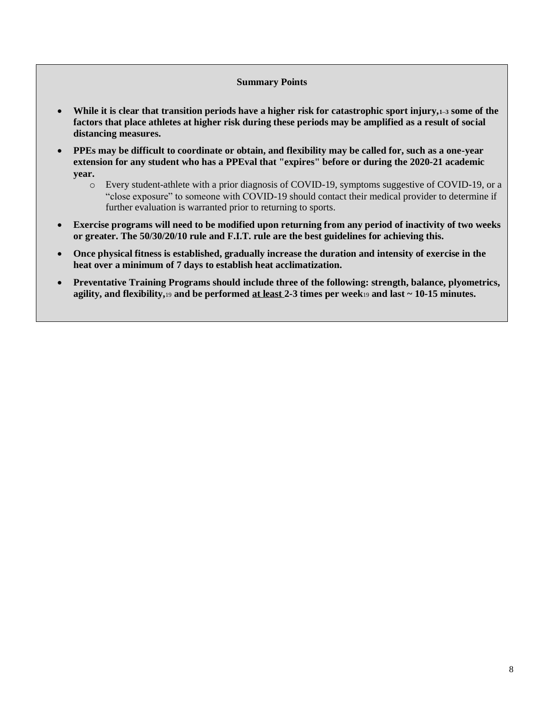#### **Summary Points**

- **While it is clear that transition periods have a higher risk for catastrophic sport injury,1–3 some of the factors that place athletes at higher risk during these periods may be amplified as a result of social distancing measures.**
- **PPEs may be difficult to coordinate or obtain, and flexibility may be called for, such as a one-year extension for any student who has a PPEval that "expires" before or during the 2020-21 academic year.** 
	- o Every student-athlete with a prior diagnosis of COVID-19, symptoms suggestive of COVID-19, or a "close exposure" to someone with COVID-19 should contact their medical provider to determine if further evaluation is warranted prior to returning to sports.
- **Exercise programs will need to be modified upon returning from any period of inactivity of two weeks or greater. The 50/30/20/10 rule and F.I.T. rule are the best guidelines for achieving this.**
- **Once physical fitness is established, gradually increase the duration and intensity of exercise in the heat over a minimum of 7 days to establish heat acclimatization.**
- **Preventative Training Programs should include three of the following: strength, balance, plyometrics, agility, and flexibility,**<sup>19</sup> **and be performed at least 2-3 times per week**<sup>19</sup> **and last ~ 10-15 minutes.**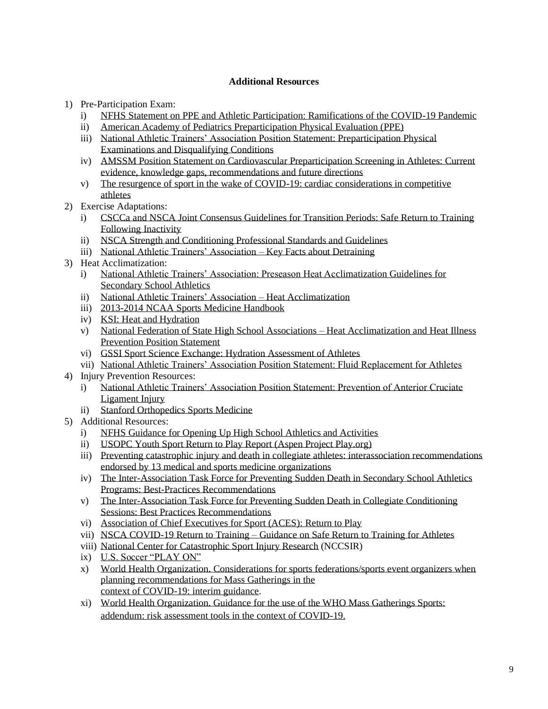# **Additional Resources**

- 1) Pre-Participation Exam:
	- i) [NFHS Statement on PPE and Athletic Participation: Ramifications of the COVID-19 Pandemic](https://www.nfhs.org/media/3812225/nfhs-smac-statement-on-ppe-and-athletic-participation-final-april-2020.pdf)
	- ii) [American Academy of Pediatrics Preparticipation Physical Evaluation \(PPE\)](https://www.aap.org/en-us/advocacy-and-policy/aap-health-initiatives/Pages/PPE.aspx)
	- iii) [National Athletic Trainers' Association Position Statement: Preparticipation Physical](https://natajournals.org/doi/pdf/10.4085/1062-6050-48.6.05)  [Examinations and Disqualifying Conditions](https://natajournals.org/doi/pdf/10.4085/1062-6050-48.6.05)
	- iv) [AMSSM Position Statement on Cardiovascular Preparticipation Screening in Athletes: Current](https://bjsm-bmj-com.ezproxy.lib.uconn.edu/content/52/9/599)  evidence, [knowledge gaps, recommendations and future directions](https://bjsm-bmj-com.ezproxy.lib.uconn.edu/content/52/9/599)
	- v) [The resurgence of sport in the wake of COVID-19: cardiac considerations in competitive](https://blogs.bmj.com/bjsm/2020/04/24/the-resurgence-of-sport-in-the-wake-of-covid-19-cardiac-considerations-in-competitive-athletes/)  [athletes](https://blogs.bmj.com/bjsm/2020/04/24/the-resurgence-of-sport-in-the-wake-of-covid-19-cardiac-considerations-in-competitive-athletes/)
- 2) Exercise Adaptations:
	- i) [CSCCa and NSCA Joint Consensus Guidelines for Transition Periods: Safe Return to Training](https://www.cscca.org/document/CSCCa_and_NSCA_Joint_Consensus_Guidelines_for_Transition_Periods)  [Following Inactivity](https://www.cscca.org/document/CSCCa_and_NSCA_Joint_Consensus_Guidelines_for_Transition_Periods)
	- ii) [NSCA Strength and Conditioning Professional Standards and Guidelines](https://www.nsca.com/contentassets/c8c75b857f964546b78cff8482deec9f/nsca_strength_and_conditioning_professional_standards_and_guidelines.pdf)
	- iii) [National Athletic Trainers' Association –](https://www.nata.org/sites/default/files/key_facts_about_detraining_-_ic.pdf) Key Facts about Detraining
- 3) Heat Acclimatization:
	- i) [National Athletic Trainers' Association: Preseason Heat Acclimatization Guidelines for](https://natajournals.org/doi/pdf/10.4085/1062-6050-44.3.332)  [Secondary School Athletics](https://natajournals.org/doi/pdf/10.4085/1062-6050-44.3.332)
	- ii) [National Athletic Trainers' Association –](http://nata.org/practice-patient-care/health-issues/heat-acclimatization) Heat Acclimatization
	- iii) [2013-2014 NCAA Sports Medicine Handbook](https://www.ncaa.org/sites/default/files/SMHB%20Mental%20Health%20INterventions.pdf)
	- iv) [KSI: Heat and Hydration](https://ksi.uconn.edu/wp-content/uploads/sites/1222/2015/03/Heat-and-Hydration-HUF.pdf)
	- v) National Federation of State High School Associations Heat Acclimatization and Heat Illness Prevention Position Statement
	- vi) [GSSI Sport Science Exchange: Hydration Assessment of Athletes](https://www.gssiweb.org/sports-science-exchange/article/sse-97-hydration-assessment-of-athletes)
	- vii) [National Athletic Trainers' Association Position Statement: Fluid Replacement for Athletes](https://www.nata.org/sites/default/files/FluidReplacementsForAthletes.pdf)
- 4) Injury Prevention Resources:
	- i) [National Athletic Trainers' Association Position Statement: Prevention of Anterior Cruciate](https://www.nata.org/sites/default/files/prevention_of_anterior_cruciate_ligament_acl_injury_position_statement.pdf)  [Ligament Injury](https://www.nata.org/sites/default/files/prevention_of_anterior_cruciate_ligament_acl_injury_position_statement.pdf)
	- ii) [Stanford Orthopedics Sports Medicine](http://www.sanfordpower.com/wp-content/uploads/2017/04/014000-00428-BOOKLET-Skipp-Exercises-8_5x8_5-1.pdf)
- 5) Additional Resources:
	- i) [NFHS Guidance for Opening Up High School Athletics and Activities](https://www.nfhs.org/media/3812287/2020-nfhs-guidance-for-opening-up-high-school-athletics-and-activities-nfhs-smac-may-15_2020-final.pdf)
	- ii) [USOPC Youth Sport Return to Play Report \(Aspen Project Play.org\)](https://www.aspenprojectplay.org/coronavirus-and-youth-sports/reports/2020/4/30/how-will-youth-sports-return-to-play-usopc-offers-first-glimpse)
	- iii) [Preventing catastrophic injury and death in collegiate athletes: interassociation recommendations](https://bjsm.bmj.com/content/bjsports/early/2019/10/17/bjsports-2019-101090.full.pdf)  [endorsed by 13 medical and sports medicine organizations](https://bjsm.bmj.com/content/bjsports/early/2019/10/17/bjsports-2019-101090.full.pdf)
	- iv) [The Inter-Association Task Force for Preventing Sudden Death in Secondary School Athletics](https://natajournals.org/doi/pdf/10.4085/1062-6050-48.4.12)  [Programs: Best-Practices Recommendations](https://natajournals.org/doi/pdf/10.4085/1062-6050-48.4.12)
	- v) [The Inter-Association Task Force for Preventing Sudden Death in Collegiate Conditioning](https://www.nsca.com/globalassets/education/high-school-coaches-resources/the-inter-association-task-force-for-preventing-sudden-death-in-collegiate-conditioning-sessions.pdf)  [Sessions: Best Practices Recommendations](https://www.nsca.com/globalassets/education/high-school-coaches-resources/the-inter-association-task-force-for-preventing-sudden-death-in-collegiate-conditioning-sessions.pdf)
	- vi) [Association of Chief Executives for Sport \(ACES\):](https://acessport.org/returntoplay) Return to Play
	- vii) NSCA COVID-19 Return to Training [Guidance on Safe Return to Training for Athletes](https://www.nsca.com/contentassets/61c0fb0a476149848de009f1630fa457/nsca-covid-19-rtt.pdf)
	- viii) [National Center for Catastrophic Sport Injury Research](http://nccsir.unc.edu/) (NCCSIR)
	- ix) [U.S. Soccer "PLAY ON"](https://www.ussoccer.com/playon/guides/phase-1-grassroots)
	- x) [World Health Organization. Considerations for sports federations/sports event organizers when](https://apps.who.int/iris/handle/10665/331764) [planning recommendations for Mass Gatherings in the](https://apps.who.int/iris/handle/10665/331764) [context of COVID-19: interim guidance.](https://apps.who.int/iris/handle/10665/331764)
	- xi) [World Health Organization. Guidance for the use of the WHO Mass Gatherings Sports:](https://www.who.int/who-documents-detail/guidance-for-the-use-of-the-who-mass-gatherings-sports-addendum-risk-assessment-tools-in-the-context-of-covid-19)  [addendum: risk assessment tools in the context of COVID-19.](https://www.who.int/who-documents-detail/guidance-for-the-use-of-the-who-mass-gatherings-sports-addendum-risk-assessment-tools-in-the-context-of-covid-19)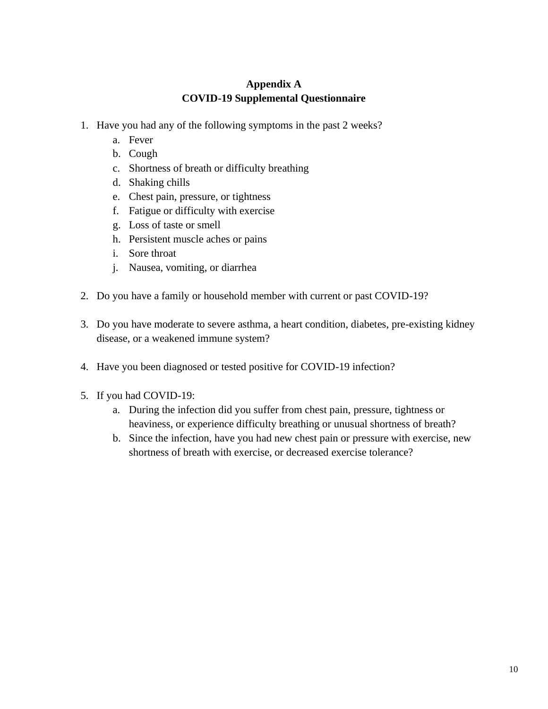# **Appendix A COVID-19 Supplemental Questionnaire**

- 1. Have you had any of the following symptoms in the past 2 weeks?
	- a. Fever
	- b. Cough
	- c. Shortness of breath or difficulty breathing
	- d. Shaking chills
	- e. Chest pain, pressure, or tightness
	- f. Fatigue or difficulty with exercise
	- g. Loss of taste or smell
	- h. Persistent muscle aches or pains
	- i. Sore throat
	- j. Nausea, vomiting, or diarrhea
- 2. Do you have a family or household member with current or past COVID-19?
- 3. Do you have moderate to severe asthma, a heart condition, diabetes, pre-existing kidney disease, or a weakened immune system?
- 4. Have you been diagnosed or tested positive for COVID-19 infection?
- 5. If you had COVID-19:
	- a. During the infection did you suffer from chest pain, pressure, tightness or heaviness, or experience difficulty breathing or unusual shortness of breath?
	- b. Since the infection, have you had new chest pain or pressure with exercise, new shortness of breath with exercise, or decreased exercise tolerance?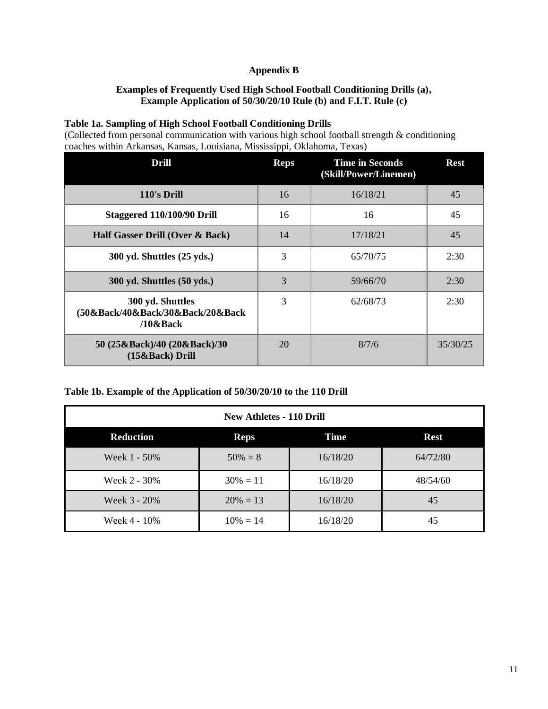# **Appendix B**

# **Examples of Frequently Used High School Football Conditioning Drills (a), Example Application of 50/30/20/10 Rule (b) and F.I.T. Rule (c)**

#### **Table 1a. Sampling of High School Football Conditioning Drills**

(Collected from personal communication with various high school football strength & conditioning coaches within Arkansas, Kansas, Louisiana, Mississippi, Oklahoma, Texas)

| Drill                                                               | <b>Reps</b> | <b>Time in Seconds</b><br>(Skill/Power/Linemen) | <b>Rest</b> |
|---------------------------------------------------------------------|-------------|-------------------------------------------------|-------------|
| 110's Drill                                                         | 16          | 16/18/21                                        | 45          |
| Staggered 110/100/90 Drill                                          | 16          | 16                                              | 45          |
| Half Gasser Drill (Over & Back)                                     | 14          | 17/18/21                                        | 45          |
| 300 yd. Shuttles (25 yds.)                                          | 3           | 65/70/75                                        | 2:30        |
| $300$ yd. Shuttles $(50$ yds.)                                      | 3           | 59/66/70                                        | 2:30        |
| 300 yd. Shuttles<br>(50&Back/40&Back/30&Back/20&Back<br>$/10$ &Back | 3           | 62/68/73                                        | 2:30        |
| 50 (25&Back)/40 (20&Back)/30<br>(15&Back) Drill                     | 20          | 8/7/6                                           | 35/30/25    |

# **Table 1b. Example of the Application of 50/30/20/10 to the 110 Drill**

| <b>New Athletes - 110 Drill</b> |             |          |             |  |
|---------------------------------|-------------|----------|-------------|--|
| <b>Reduction</b>                | <b>Reps</b> | Time     | <b>Rest</b> |  |
| Week 1 - 50%                    | $50\% = 8$  | 16/18/20 | 64/72/80    |  |
| Week 2 - 30%                    | $30\% = 11$ | 16/18/20 | 48/54/60    |  |
| Week 3 - 20%                    | $20\% = 13$ | 16/18/20 | 45          |  |
| Week 4 - 10%                    | $10\% = 14$ | 16/18/20 | 45          |  |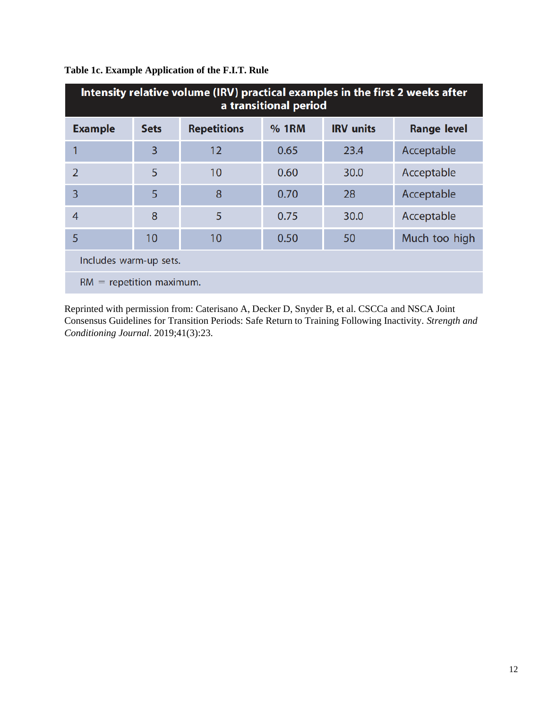| Intensity relative volume (IRV) practical examples in the first 2 weeks after<br>a transitional period |             |                    |              |                  |                    |
|--------------------------------------------------------------------------------------------------------|-------------|--------------------|--------------|------------------|--------------------|
| <b>Example</b>                                                                                         | <b>Sets</b> | <b>Repetitions</b> | <b>% 1RM</b> | <b>IRV</b> units | <b>Range level</b> |
|                                                                                                        | 3           | 12                 | 0.65         | 23.4             | Acceptable         |
| 2                                                                                                      | 5           | 10                 | 0.60         | 30.0             | Acceptable         |
| 3                                                                                                      | 5           | 8                  | 0.70         | 28               | Acceptable         |
| $\overline{4}$                                                                                         | 8           | 5                  | 0.75         | 30.0             | Acceptable         |
| 5                                                                                                      | 10          | 10                 | 0.50         | 50               | Much too high      |
| Includes warm-up sets.                                                                                 |             |                    |              |                  |                    |
| $RM$ = repetition maximum.                                                                             |             |                    |              |                  |                    |

# **Table 1c. Example Application of the F.I.T. Rule**

Reprinted with permission from: Caterisano A, Decker D, Snyder B, et al. CSCCa and NSCA Joint Consensus Guidelines for Transition Periods: Safe Return to Training Following Inactivity. *Strength and Conditioning Journal*. 2019;41(3):23.